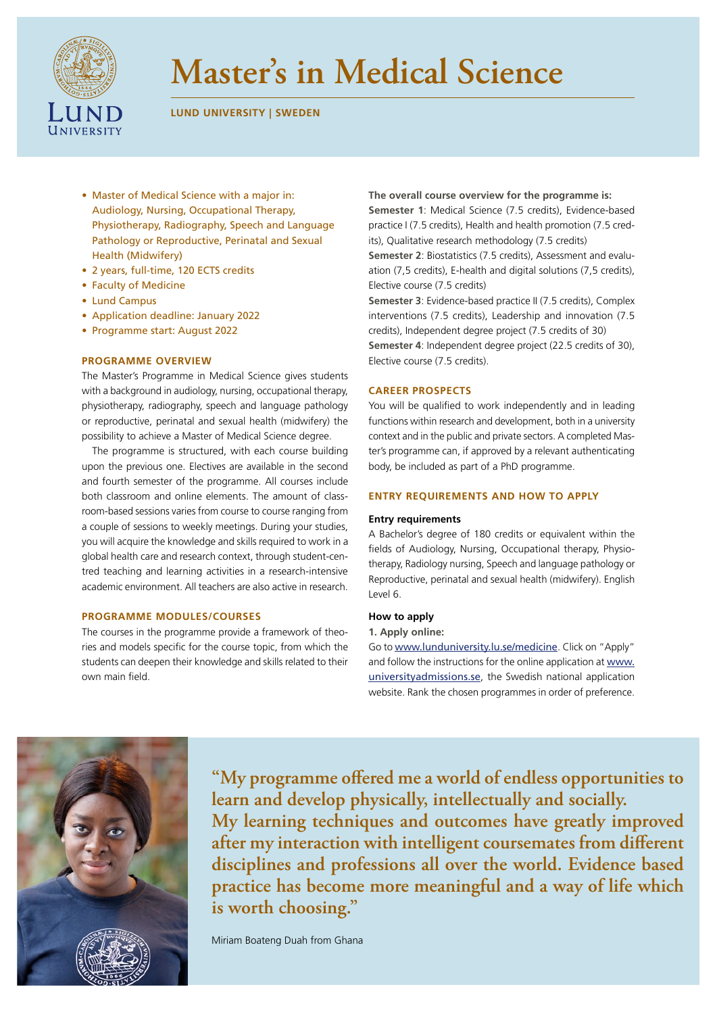

# **Master's in Medical Science**

# **LUND UNIVERSITY | SWEDEN**

- Master of Medical Science with a major in: Audiology, Nursing, Occupational Therapy, Physiotherapy, Radiography, Speech and Language Pathology or Reproductive, Perinatal and Sexual Health (Midwifery)
- 2 years, full-time, 120 ECTS credits
- Faculty of Medicine
- Lund Campus
- Application deadline: January 2022
- Programme start: August 2022

#### **PROGRAMME OVERVIEW**

The Master's Programme in Medical Science gives students with a background in audiology, nursing, occupational therapy, physiotherapy, radiography, speech and language pathology or reproductive, perinatal and sexual health (midwifery) the possibility to achieve a Master of Medical Science degree.

The programme is structured, with each course building upon the previous one. Electives are available in the second and fourth semester of the programme. All courses include both classroom and online elements. The amount of classroom-based sessions varies from course to course ranging from a couple of sessions to weekly meetings. During your studies, you will acquire the knowledge and skills required to work in a global health care and research context, through student-centred teaching and learning activities in a research-intensive academic environment. All teachers are also active in research.

## **PROGRAMME MODULES/COURSES**

The courses in the programme provide a framework of theories and models specific for the course topic, from which the students can deepen their knowledge and skills related to their own main field.

**The overall course overview for the programme is: Semester 1**: Medical Science (7.5 credits), Evidence-based practice I (7.5 credits), Health and health promotion (7.5 credits), Qualitative research methodology (7.5 credits) **Semester 2**: Biostatistics (7.5 credits), Assessment and evaluation (7,5 credits), E-health and digital solutions (7,5 credits), Elective course (7.5 credits)

**Semester 3**: Evidence-based practice II (7.5 credits), Complex interventions (7.5 credits), Leadership and innovation (7.5 credits), Independent degree project (7.5 credits of 30) **Semester 4**: Independent degree project (22.5 credits of 30), Elective course (7.5 credits).

## **CAREER PROSPECTS**

You will be qualified to work independently and in leading functions within research and development, both in a university context and in the public and private sectors. A completed Master's programme can, if approved by a relevant authenticating body, be included as part of a PhD programme.

#### **ENTRY REQUIREMENTS AND HOW TO APPLY**

## **Entry requirements**

A Bachelor's degree of 180 credits or equivalent within the fields of Audiology, Nursing, Occupational therapy, Physiotherapy, Radiology nursing, Speech and language pathology or Reproductive, perinatal and sexual health (midwifery). English Level 6.

#### **How to apply**

#### **1. Apply online:**

Go to [www.lunduniversity.lu.se/medicine](http://www.lunduniversity.lu.se/medicine). Click on "Apply" and follow the instructions for the online application at [www.](https://www.universityadmissions.se) [universityadmissions.se](https://www.universityadmissions.se), the Swedish national application website. Rank the chosen programmes in order of preference.



**"My programme offered me a world of endless opportunities to learn and develop physically, intellectually and socially. My learning techniques and outcomes have greatly improved after my interaction with intelligent coursemates from different disciplines and professions all over the world. Evidence based practice has become more meaningful and a way of life which is worth choosing."**

Miriam Boateng Duah from Ghana